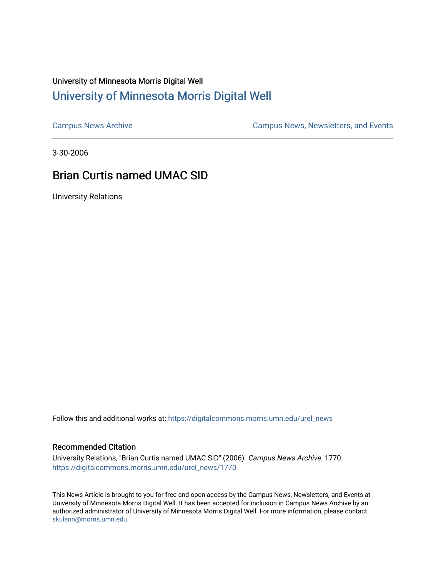## University of Minnesota Morris Digital Well [University of Minnesota Morris Digital Well](https://digitalcommons.morris.umn.edu/)

[Campus News Archive](https://digitalcommons.morris.umn.edu/urel_news) [Campus News, Newsletters, and Events](https://digitalcommons.morris.umn.edu/externalrel) 

3-30-2006

## Brian Curtis named UMAC SID

University Relations

Follow this and additional works at: [https://digitalcommons.morris.umn.edu/urel\\_news](https://digitalcommons.morris.umn.edu/urel_news?utm_source=digitalcommons.morris.umn.edu%2Furel_news%2F1770&utm_medium=PDF&utm_campaign=PDFCoverPages) 

## Recommended Citation

University Relations, "Brian Curtis named UMAC SID" (2006). Campus News Archive. 1770. [https://digitalcommons.morris.umn.edu/urel\\_news/1770](https://digitalcommons.morris.umn.edu/urel_news/1770?utm_source=digitalcommons.morris.umn.edu%2Furel_news%2F1770&utm_medium=PDF&utm_campaign=PDFCoverPages) 

This News Article is brought to you for free and open access by the Campus News, Newsletters, and Events at University of Minnesota Morris Digital Well. It has been accepted for inclusion in Campus News Archive by an authorized administrator of University of Minnesota Morris Digital Well. For more information, please contact [skulann@morris.umn.edu.](mailto:skulann@morris.umn.edu)